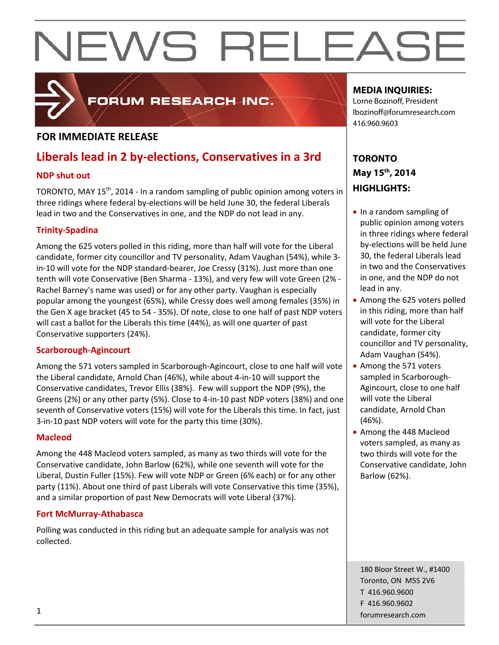### **FOR IMMEDIATE RELEASE**

## **Liberals lead in 2 by‐elections, Conservatives in a 3rd**

FORUM RESEARCH INC.

#### **NDP shut out**

TORONTO, MAY 15<sup>th</sup>, 2014 - In a random sampling of public opinion among voters in three ridings where federal by‐elections will be held June 30, the federal Liberals lead in two and the Conservatives in one, and the NDP do not lead in any.

#### **Trinity‐Spadina**

Among the 625 voters polled in this riding, more than half will vote for the Liberal candidate, former city councillor and TV personality, Adam Vaughan (54%), while 3‐ in‐10 will vote for the NDP standard‐bearer, Joe Cressy (31%). Just more than one tenth will vote Conservative (Ben Sharma ‐ 13%), and very few will vote Green (2% ‐ Rachel Barney's name was used) or for any other party. Vaughan is especially popular among the youngest (65%), while Cressy does well among females (35%) in the Gen X age bracket (45 to 54 ‐ 35%). Of note, close to one half of past NDP voters will cast a ballot for the Liberals this time (44%), as will one quarter of past Conservative supporters (24%).

#### **Scarborough‐Agincourt**

Among the 571 voters sampled in Scarborough‐Agincourt, close to one half will vote the Liberal candidate, Arnold Chan (46%), while about 4‐in‐10 will support the Conservative candidates, Trevor Ellis (38%). Few will support the NDP (9%), the Greens (2%) or any other party (5%). Close to 4‐in‐10 past NDP voters (38%) and one seventh of Conservative voters (15%) will vote for the Liberals this time. In fact, just 3‐in‐10 past NDP voters will vote for the party this time (30%).

#### **Macleod**

Among the 448 Macleod voters sampled, as many as two thirds will vote for the Conservative candidate, John Barlow (62%), while one seventh will vote for the Liberal, Dustin Fuller (15%). Few will vote NDP or Green (6% each) or for any other party (11%). About one third of past Liberals will vote Conservative this time (35%), and a similar proportion of past New Democrats will vote Liberal (37%).

#### **Fort McMurray‐Athabasca**

Polling was conducted in this riding but an adequate sample for analysis was not collected.

#### **MEDIA INQUIRIES:**

Lorne Bozinoff, President lbozinoff@forumresearch.com 416.960.9603

### **TORONTO May 15th, 2014 HIGHLIGHTS:**

- In a random sampling of public opinion among voters in three ridings where federal by‐elections will be held June 30, the federal Liberals lead in two and the Conservatives in one, and the NDP do not lead in any.
- Among the 625 voters polled in this riding, more than half will vote for the Liberal candidate, former city councillor and TV personality, Adam Vaughan (54%).
- Among the 571 voters sampled in Scarborough‐ Agincourt, close to one half will vote the Liberal candidate, Arnold Chan (46%).
- Among the 448 Macleod voters sampled, as many as two thirds will vote for the Conservative candidate, John Barlow (62%).

180 Bloor Street W., #1400 Toronto, ON M5S 2V6 T 416.960.9600 F 416.960.9602 **forumresearch.com** and the set of the set of the set of the set of the set of the set of the set of the set of the set of the set of the set of the set of the set of the set of the set of the set of the set of the set of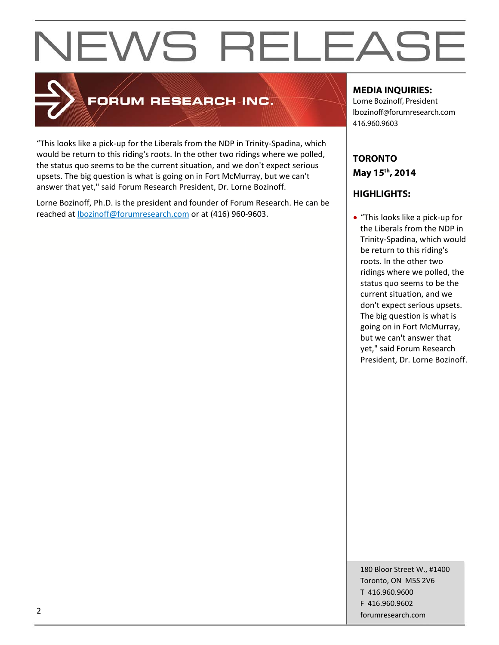

## **FORUM RESEARCH INC.**

"This looks like a pick‐up for the Liberals from the NDP in Trinity‐Spadina, which would be return to this riding's roots. In the other two ridings where we polled, the status quo seems to be the current situation, and we don't expect serious upsets. The big question is what is going on in Fort McMurray, but we can't answer that yet," said Forum Research President, Dr. Lorne Bozinoff.

Lorne Bozinoff, Ph.D. is the president and founder of Forum Research. He can be reached at **bozinoff@forumresearch.com** or at (416) 960-9603.

#### **MEDIA INQUIRIES:**

Lorne Bozinoff, President lbozinoff@forumresearch.com 416.960.9603

### **TORONTO May 15th, 2014**

### **HIGHLIGHTS:**

 "This looks like a pick‐up for the Liberals from the NDP in Trinity‐Spadina, which would be return to this riding's roots. In the other two ridings where we polled, the status quo seems to be the current situation, and we don't expect serious upsets. The big question is what is going on in Fort McMurray, but we can't answer that yet," said Forum Research President, Dr. Lorne Bozinoff.

180 Bloor Street W., #1400 Toronto, ON M5S 2V6 T 416.960.9600 F 416.960.9602 example to the contract of the contract of the contract of the contract of the contract of the contract of the contract of the contract of the contract of the contract of the contract of the contract of the contract of the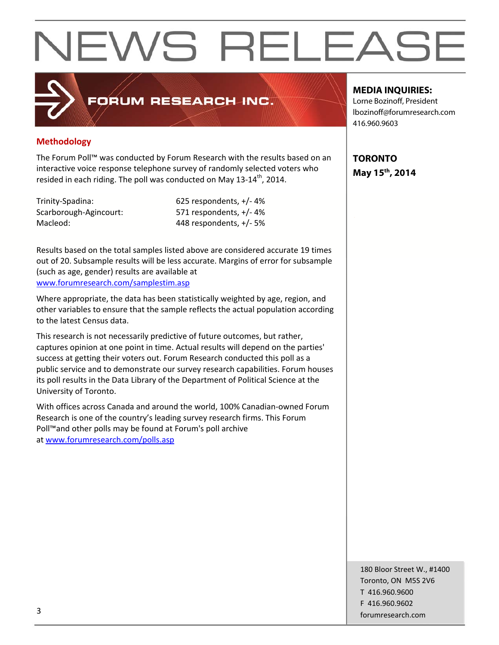## FORUM RESEARCH INC.

#### **Methodology**

The Forum Poll™ was conducted by Forum Research with the results based on an interactive voice response telephone survey of randomly selected voters who resided in each riding. The poll was conducted on May 13-14<sup>th</sup>, 2014.

Trinity‐Spadina: 625 respondents, +/‐ 4% Scarborough‐Agincourt: 571 respondents, +/‐ 4% Macleod: 448 respondents, +/‐ 5%

Results based on the total samples listed above are considered accurate 19 times out of 20. Subsample results will be less accurate. Margins of error for subsample (such as age, gender) results are available at www.forumresearch.com/samplestim.asp

Where appropriate, the data has been statistically weighted by age, region, and other variables to ensure that the sample reflects the actual population according to the latest Census data.

This research is not necessarily predictive of future outcomes, but rather, captures opinion at one point in time. Actual results will depend on the parties' success at getting their voters out. Forum Research conducted this poll as a public service and to demonstrate our survey research capabilities. Forum houses its poll results in the Data Library of the Department of Political Science at the University of Toronto.

With offices across Canada and around the world, 100% Canadian‐owned Forum Research is one of the country's leading survey research firms. This Forum Poll™and other polls may be found at Forum's poll archive at www.forumresearch.com/polls.asp

#### **MEDIA INQUIRIES:**

Lorne Bozinoff, President lbozinoff@forumresearch.com 416.960.9603

**TORONTO May 15th, 2014** 

180 Bloor Street W., #1400 Toronto, ON M5S 2V6 T 416.960.9600 F 416.960.9602 forumresearch.com and the set of the set of the set of the set of the set of the set of the set of the set of the set of the set of the set of the set of the set of the set of the set of the set of the set of the set of th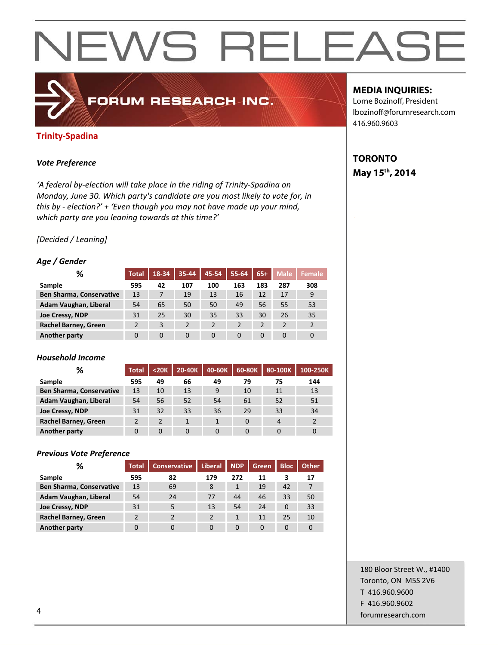#### **Trinity‐Spadina**

#### *Vote Preference*

*'A federal by‐election will take place in the riding of Trinity‐Spadina on Monday, June 30. Which party's candidate are you most likely to vote for, in this by ‐ election?' + 'Even though you may not have made up your mind, which party are you leaning towards at this time?'*

FORUM RESEARCH INC.

#### *[Decided / Leaning]*

#### *Age / Gender*

| ℅                               | <b>Total</b> | 18-34    | 35-44    | 45-54          | 55-64    | $65+$    | <b>Male</b>    | <b>Female</b>  |
|---------------------------------|--------------|----------|----------|----------------|----------|----------|----------------|----------------|
| Sample                          | 595          | 42       | 107      | 100            | 163      | 183      | 287            | 308            |
| <b>Ben Sharma, Conservative</b> | 13           | 7        | 19       | 13             | 16       | 12       | 17             | 9              |
| Adam Vaughan, Liberal           | 54           | 65       | 50       | 50             | 49       | 56       | 55             | 53             |
| Joe Cressy, NDP                 | 31           | 25       | 30       | 35             | 33       | 30       | 26             | 35             |
| <b>Rachel Barney, Green</b>     |              | 3        |          | $\overline{2}$ | 2        | 2        | $\overline{2}$ | $\overline{2}$ |
| Another party                   | 0            | $\Omega$ | $\Omega$ | $\Omega$       | $\Omega$ | $\Omega$ | $\Omega$       | $\Omega$       |

#### *Household Income*

| %                               | <b>Total</b> | $20K$ | 20-40K       | 40-60K       | 60-80K | 80-100K | 100-250K |
|---------------------------------|--------------|-------|--------------|--------------|--------|---------|----------|
| Sample                          | 595          | 49    | 66           | 49           | 79     | 75      | 144      |
| <b>Ben Sharma, Conservative</b> | 13           | 10    | 13           | 9            | 10     | 11      | 13       |
| Adam Vaughan, Liberal           | 54           | 56    | 52           | 54           | 61     | 52      | 51       |
| Joe Cressy, NDP                 | 31           | 32    | 33           | 36           | 29     | 33      | 34       |
| Rachel Barney, Green            |              | 2     | $\mathbf{1}$ | $\mathbf{1}$ | 0      | 4       |          |
| Another party                   |              | 0     | $\Omega$     |              |        |         | 0        |

#### *Previous Vote Preference*

| ℅                               | <b>Total</b> | <b>Conservative</b> | Liberal | <b>NDP</b> | Green    | <b>Bloc</b> | <b>Other</b> |
|---------------------------------|--------------|---------------------|---------|------------|----------|-------------|--------------|
| Sample                          | 595          | 82                  | 179     | 272        | 11       |             | 17           |
| <b>Ben Sharma, Conservative</b> | 13           | 69                  | 8       |            | 19       | 42          |              |
| Adam Vaughan, Liberal           | 54           | 24                  | 77      | 44         | 46       | 33          | 50           |
| Joe Cressy, NDP                 | 31           | 5                   | 13      | 54         | 24       | 0           | 33           |
| <b>Rachel Barney, Green</b>     |              |                     | 2       |            | 11       | 25          | 10           |
| Another party                   |              |                     |         | 0          | $\Omega$ |             |              |

#### **MEDIA INQUIRIES:**

Lorne Bozinoff, President lbozinoff@forumresearch.com 416.960.9603

### **TORONTO May 15th, 2014**

180 Bloor Street W., #1400 Toronto, ON M5S 2V6 T 416.960.9600 F 416.960.9602 example to the contract of the contract of the contract of the contract of the contract of the contract of the contract of the contract of the contract of the contract of the contract of the contract of the contract of the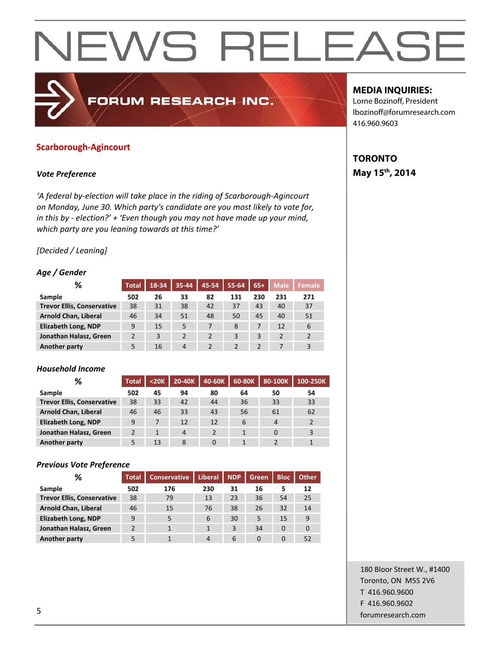#### **Scarborough‐Agincourt**

#### *Vote Preference*

*'A federal by‐election will take place in the riding of Scarborough‐Agincourt on Monday, June 30. Which party's candidate are you most likely to vote for, in this by ‐ election?' + 'Even though you may not have made up your mind, which party are you leaning towards at this time?'*

FORUM RESEARCH INC.

#### *[Decided / Leaning]*

#### *Age / Gender*

| %                                 | <b>Total</b> | 18-34 | 35-44          | 45-54 | 55-64 | $65+$ | <b>Male</b>    | <b>Female</b> |
|-----------------------------------|--------------|-------|----------------|-------|-------|-------|----------------|---------------|
| Sample                            | 502          | 26    | 33             | 82    | 131   | 230   | 231            | 271           |
| <b>Trevor Ellis, Conservative</b> | 38           | 31    | 38             | 42    | 37    | 43    | 40             | 37            |
| <b>Arnold Chan, Liberal</b>       | 46           | 34    | 51             | 48    | 50    | 45    | 40             | 51            |
| <b>Elizabeth Long, NDP</b>        | 9            | 15    | 5              |       | 8     | 7     | 12             | 6             |
| Jonathan Halasz, Green            |              | 3     | $\overline{2}$ |       | 3     | 3     | $\overline{2}$ | $\mathcal{P}$ |
| <b>Another party</b>              |              | 16    | $\overline{4}$ |       |       |       |                | 3             |

#### *Household Income*

| %                                 | <b>Total</b> | $20K$ | 20-40K | 40-60K | 60-80K | 80-100K        | 100-250K |
|-----------------------------------|--------------|-------|--------|--------|--------|----------------|----------|
| Sample                            | 502          | 45    | 94     | 80     | 64     | 50             | 54       |
| <b>Trevor Ellis, Conservative</b> | 38           | 33    | 42     | 44     | 36     | 33             | 33       |
| <b>Arnold Chan, Liberal</b>       | 46           | 46    | 33     | 43     | 56     | 61             | 62       |
| <b>Elizabeth Long, NDP</b>        | 9            |       | 12     | 12     | 6      | $\overline{4}$ |          |
| Jonathan Halasz, Green            |              |       | 4      |        |        | 0              |          |
| Another party                     |              | 13    | 8      |        |        |                |          |

#### *Previous Vote Preference*

| %                                 | <b>Total</b> | <b>Conservative</b> | <b>Liberal</b> | <b>NDP</b> | Green | <b>Bloc</b> | <b>Other</b> |
|-----------------------------------|--------------|---------------------|----------------|------------|-------|-------------|--------------|
| Sample                            | 502          | 176                 | 230            | 31         | 16    |             | 12           |
| <b>Trevor Ellis, Conservative</b> | 38           | 79                  | 13             | 23         | 36    | 54          | 25           |
| <b>Arnold Chan, Liberal</b>       | 46           | 15                  | 76             | 38         | 26    | 32          | 14           |
| <b>Elizabeth Long, NDP</b>        | 9            | 5                   | 6              | 30         | 5     | 15          | 9            |
| Jonathan Halasz, Green            | <b>C</b>     |                     |                | 3          | 34    | $\Omega$    |              |
| Another party                     |              |                     |                | 6          |       |             | 52           |

#### **MEDIA INQUIRIES:**

Lorne Bozinoff, President lbozinoff@forumresearch.com 416.960.9603

### **TORONTO May 15th, 2014**

180 Bloor Street W., #1400 Toronto, ON M5S 2V6 T 416.960.9600 F 416.960.9602 forumresearch.com 5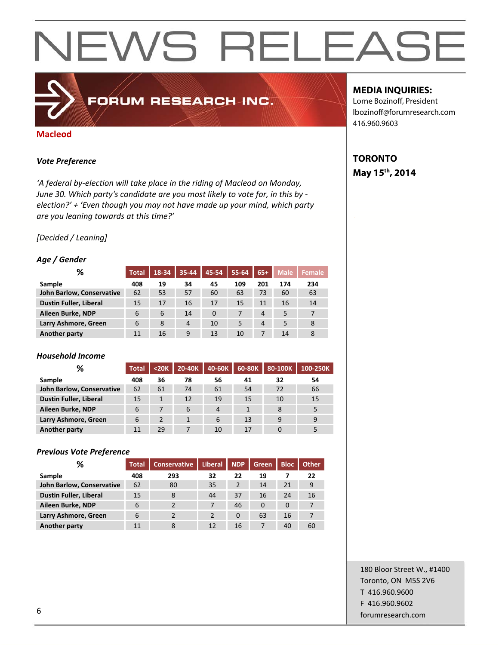#### **Macleod**

#### *Vote Preference*

*'A federal by‐election will take place in the riding of Macleod on Monday, June 30. Which party's candidate are you most likely to vote for, in this by ‐ election?' + 'Even though you may not have made up your mind, which party are you leaning towards at this time?'*

FORUM RESEARCH INC.

#### *[Decided / Leaning]*

#### *Age / Gender*

| ℅                             | <b>Total</b> | 18-34 | $35 - 44$ | 45-54    | 55-64 | $65+$ | <b>Male</b> | Female |
|-------------------------------|--------------|-------|-----------|----------|-------|-------|-------------|--------|
| Sample                        | 408          | 19    | 34        | 45       | 109   | 201   | 174         | 234    |
| John Barlow, Conservative     | 62           | 53    | 57        | 60       | 63    | 73    | 60          | 63     |
| <b>Dustin Fuller, Liberal</b> | 15           | 17    | 16        | 17       | 15    | 11    | 16          | 14     |
| Aileen Burke, NDP             | 6            | 6     | 14        | $\Omega$ |       | 4     | 5           |        |
| Larry Ashmore, Green          | 6            | 8     | 4         | 10       | 5     | 4     | 5           | 8      |
| <b>Another party</b>          | 11           | 16    | 9         | 13       | 10    |       | 14          | 8      |

#### *Household Income*

| %                         | <b>Total</b> | $20K$ | 20-40K | 40-60K | 60-80K | 80-100K | 100-250K |
|---------------------------|--------------|-------|--------|--------|--------|---------|----------|
| Sample                    | 408          | 36    | 78     | 56     | 41     | 32      | 54       |
| John Barlow, Conservative | 62           | 61    | 74     | 61     | 54     | 72      | 66       |
| Dustin Fuller, Liberal    | 15           |       | 12     | 19     | 15     | 10      | 15       |
| Aileen Burke, NDP         | 6            |       | 6      | 4      |        | 8       | 5        |
| Larry Ashmore, Green      | 6            |       |        | 6      | 13     | 9       | 9        |
| Another party             |              | 29    |        | 10     | 17     |         |          |

#### *Previous Vote Preference*

| ℅                             | <b>Total</b> | <b>Conservative</b> | <b>Liberal</b> | <b>NDP</b> | Green    | <b>Bloc</b> | <b>Other</b> |
|-------------------------------|--------------|---------------------|----------------|------------|----------|-------------|--------------|
| Sample                        | 408          | 293                 | 32             | 22         | 19       |             | 22           |
| John Barlow, Conservative     | 62           | 80                  | 35             | 2          | 14       | 21          | 9            |
| <b>Dustin Fuller, Liberal</b> | 15           | 8                   | 44             | 37         | 16       | 24          | 16           |
| Aileen Burke, NDP             | 6            | っ                   |                | 46         | $\Omega$ | $\Omega$    |              |
| Larry Ashmore, Green          | 6            | $\mathbf{D}$        | $\overline{2}$ | $\Omega$   | 63       | 16          |              |
| <b>Another party</b>          | 11           | 8                   | 12             | 16         |          | 40          | 60           |

#### **MEDIA INQUIRIES:**

Lorne Bozinoff, President lbozinoff@forumresearch.com 416.960.9603

### **TORONTO May 15th, 2014**

180 Bloor Street W., #1400 Toronto, ON M5S 2V6 T 416.960.9600 F 416.960.9602 forumresearch.com 6